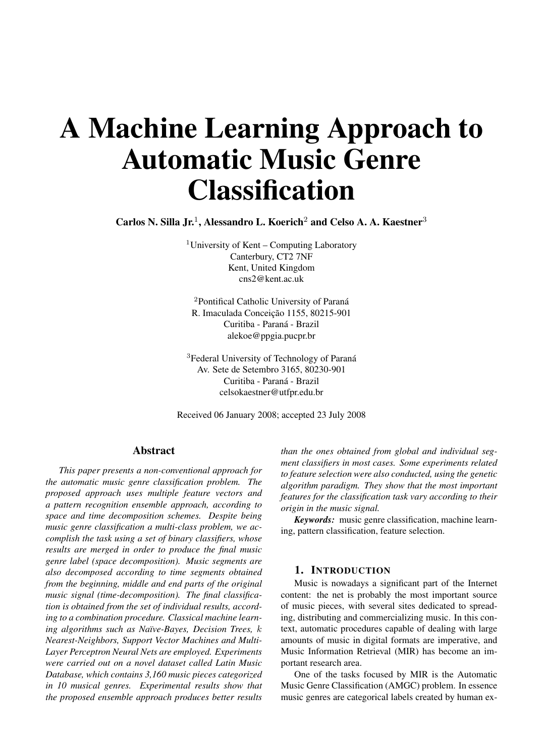# A Machine Learning Approach to Automatic Music Genre **Classification**

Carlos N. Silla Jr.<sup>1</sup>, Alessandro L. Koerich<sup>2</sup> and Celso A. A. Kaestner<sup>3</sup>

<sup>1</sup>University of Kent – Computing Laboratory Canterbury, CT2 7NF Kent, United Kingdom cns2@kent.ac.uk

<sup>2</sup>Pontifical Catholic University of Paraná R. Imaculada Conceição 1155, 80215-901 Curitiba - Paraná - Brazil alekoe@ppgia.pucpr.br

<sup>3</sup>Federal University of Technology of Paraná Av. Sete de Setembro 3165, 80230-901 Curitiba - Paraná - Brazil celsokaestner@utfpr.edu.br

Received 06 January 2008; accepted 23 July 2008

## Abstract

*This paper presents a non-conventional approach for the automatic music genre classification problem. The proposed approach uses multiple feature vectors and a pattern recognition ensemble approach, according to space and time decomposition schemes. Despite being music genre classification a multi-class problem, we accomplish the task using a set of binary classifiers, whose results are merged in order to produce the final music genre label (space decomposition). Music segments are also decomposed according to time segments obtained from the beginning, middle and end parts of the original music signal (time-decomposition). The final classification is obtained from the set of individual results, according to a combination procedure. Classical machine learning algorithms such as Naïve-Bayes, Decision Trees,* k *Nearest-Neighbors, Support Vector Machines and Multi-Layer Perceptron Neural Nets are employed. Experiments were carried out on a novel dataset called Latin Music Database, which contains 3,160 music pieces categorized in 10 musical genres. Experimental results show that the proposed ensemble approach produces better results*

*than the ones obtained from global and individual segment classifiers in most cases. Some experiments related to feature selection were also conducted, using the genetic algorithm paradigm. They show that the most important features for the classification task vary according to their origin in the music signal.*

*Keywords:* music genre classification, machine learning, pattern classification, feature selection.

## 1. INTRODUCTION

Music is nowadays a significant part of the Internet content: the net is probably the most important source of music pieces, with several sites dedicated to spreading, distributing and commercializing music. In this context, automatic procedures capable of dealing with large amounts of music in digital formats are imperative, and Music Information Retrieval (MIR) has become an important research area.

One of the tasks focused by MIR is the Automatic Music Genre Classification (AMGC) problem. In essence music genres are categorical labels created by human ex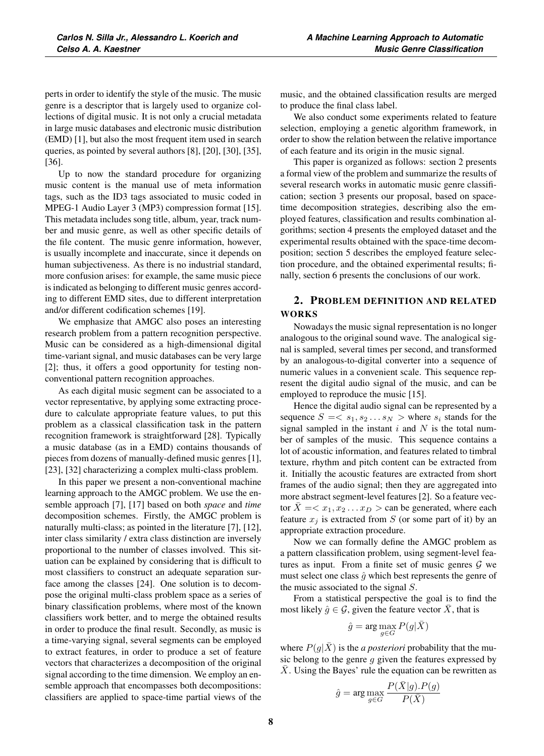perts in order to identify the style of the music. The music genre is a descriptor that is largely used to organize collections of digital music. It is not only a crucial metadata in large music databases and electronic music distribution (EMD) [1], but also the most frequent item used in search queries, as pointed by several authors [8], [20], [30], [35], [36].

Up to now the standard procedure for organizing music content is the manual use of meta information tags, such as the ID3 tags associated to music coded in MPEG-1 Audio Layer 3 (MP3) compression format [15]. This metadata includes song title, album, year, track number and music genre, as well as other specific details of the file content. The music genre information, however, is usually incomplete and inaccurate, since it depends on human subjectiveness. As there is no industrial standard, more confusion arises: for example, the same music piece is indicated as belonging to different music genres according to different EMD sites, due to different interpretation and/or different codification schemes [19].

We emphasize that AMGC also poses an interesting research problem from a pattern recognition perspective. Music can be considered as a high-dimensional digital time-variant signal, and music databases can be very large [2]; thus, it offers a good opportunity for testing nonconventional pattern recognition approaches.

As each digital music segment can be associated to a vector representative, by applying some extracting procedure to calculate appropriate feature values, to put this problem as a classical classification task in the pattern recognition framework is straightforward [28]. Typically a music database (as in a EMD) contains thousands of pieces from dozens of manually-defined music genres [1], [23], [32] characterizing a complex multi-class problem.

In this paper we present a non-conventional machine learning approach to the AMGC problem. We use the ensemble approach [7], [17] based on both *space* and *time* decomposition schemes. Firstly, the AMGC problem is naturally multi-class; as pointed in the literature [7], [12], inter class similarity / extra class distinction are inversely proportional to the number of classes involved. This situation can be explained by considering that is difficult to most classifiers to construct an adequate separation surface among the classes [24]. One solution is to decompose the original multi-class problem space as a series of binary classification problems, where most of the known classifiers work better, and to merge the obtained results in order to produce the final result. Secondly, as music is a time-varying signal, several segments can be employed to extract features, in order to produce a set of feature vectors that characterizes a decomposition of the original signal according to the time dimension. We employ an ensemble approach that encompasses both decompositions: classifiers are applied to space-time partial views of the music, and the obtained classification results are merged to produce the final class label.

We also conduct some experiments related to feature selection, employing a genetic algorithm framework, in order to show the relation between the relative importance of each feature and its origin in the music signal.

This paper is organized as follows: section 2 presents a formal view of the problem and summarize the results of several research works in automatic music genre classification; section 3 presents our proposal, based on spacetime decomposition strategies, describing also the employed features, classification and results combination algorithms; section 4 presents the employed dataset and the experimental results obtained with the space-time decomposition; section 5 describes the employed feature selection procedure, and the obtained experimental results; finally, section 6 presents the conclusions of our work.

# 2. PROBLEM DEFINITION AND RELATED WORKS

Nowadays the music signal representation is no longer analogous to the original sound wave. The analogical signal is sampled, several times per second, and transformed by an analogous-to-digital converter into a sequence of numeric values in a convenient scale. This sequence represent the digital audio signal of the music, and can be employed to reproduce the music [15].

Hence the digital audio signal can be represented by a sequence  $S = \langle s_1, s_2 \dots s_N \rangle$  where  $s_i$  stands for the signal sampled in the instant  $i$  and  $N$  is the total number of samples of the music. This sequence contains a lot of acoustic information, and features related to timbral texture, rhythm and pitch content can be extracted from it. Initially the acoustic features are extracted from short frames of the audio signal; then they are aggregated into more abstract segment-level features [2]. So a feature vector  $\overline{X} = \langle x_1, x_2 \dots x_D \rangle$  can be generated, where each feature  $x_j$  is extracted from S (or some part of it) by an appropriate extraction procedure.

Now we can formally define the AMGC problem as a pattern classification problem, using segment-level features as input. From a finite set of music genres  $G$  we must select one class  $\hat{g}$  which best represents the genre of the music associated to the signal  $S$ .

From a statistical perspective the goal is to find the most likely  $\hat{g} \in \mathcal{G}$ , given the feature vector X, that is

$$
\hat{g} = \arg\max_{g \in G} P(g|\bar{X})
$$

where  $P(g|X)$  is the *a posteriori* probability that the music belong to the genre  $g$  given the features expressed by  $\overline{X}$ . Using the Bayes' rule the equation can be rewritten as

$$
\hat{g} = \arg \max_{g \in G} \frac{P(\bar{X}|g).P(g)}{P(\bar{X})}
$$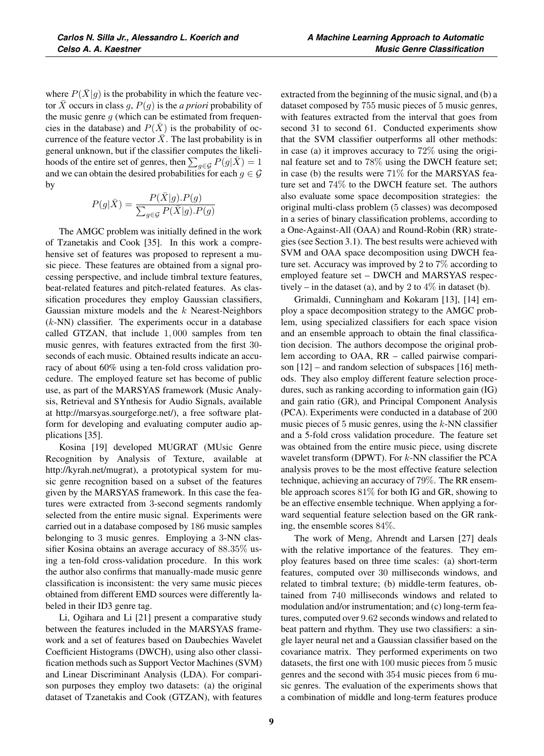where  $P(\bar{X}|g)$  is the probability in which the feature vector  $\overline{X}$  occurs in class g,  $P(g)$  is the *a priori* probability of the music genre  $g$  (which can be estimated from frequencies in the database) and  $P(\bar{X})$  is the probability of occurrence of the feature vector  $\bar{X}$ . The last probability is in general unknown, but if the classifier computes the likelihoods of the entire set of genres, then  $\sum_{g \in \mathcal{G}} P(g|\bar{X}) = 1$ <br>and we can obtain the desired probabilities for each  $g \in \mathcal{G}$ and we can obtain the desired probabilities for each  $g \in \mathcal{G}$ by

$$
P(g|\bar{X}) = \frac{P(\bar{X}|g).P(g)}{\sum_{g \in \mathcal{G}} P(\bar{X}|g).P(g)}
$$

The AMGC problem was initially defined in the work of Tzanetakis and Cook [35]. In this work a comprehensive set of features was proposed to represent a music piece. These features are obtained from a signal processing perspective, and include timbral texture features, beat-related features and pitch-related features. As classification procedures they employ Gaussian classifiers, Gaussian mixture models and the  $k$  Nearest-Neighbors  $(k-NN)$  classifier. The experiments occur in a database called GTZAN, that include <sup>1</sup>, <sup>000</sup> samples from ten music genres, with features extracted from the first 30 seconds of each music. Obtained results indicate an accuracy of about 60% using a ten-fold cross validation procedure. The employed feature set has become of public use, as part of the MARSYAS framework (Music Analysis, Retrieval and SYnthesis for Audio Signals, available at http://marsyas.sourgeforge.net/), a free software platform for developing and evaluating computer audio applications [35].

Kosina [19] developed MUGRAT (MUsic Genre Recognition by Analysis of Texture, available at http://kyrah.net/mugrat), a prototypical system for music genre recognition based on a subset of the features given by the MARSYAS framework. In this case the features were extracted from 3-second segments randomly selected from the entire music signal. Experiments were carried out in a database composed by 186 music samples belonging to 3 music genres. Employing a 3-NN classifier Kosina obtains an average accuracy of <sup>88</sup>.35% using a ten-fold cross-validation procedure. In this work the author also confirms that manually-made music genre classification is inconsistent: the very same music pieces obtained from different EMD sources were differently labeled in their ID3 genre tag.

Li, Ogihara and Li [21] present a comparative study between the features included in the MARSYAS framework and a set of features based on Daubechies Wavelet Coefficient Histograms (DWCH), using also other classification methods such as Support Vector Machines (SVM) and Linear Discriminant Analysis (LDA). For comparison purposes they employ two datasets: (a) the original dataset of Tzanetakis and Cook (GTZAN), with features extracted from the beginning of the music signal, and (b) a dataset composed by 755 music pieces of 5 music genres, with features extracted from the interval that goes from second 31 to second 61. Conducted experiments show that the SVM classifier outperforms all other methods: in case (a) it improves accuracy to 72% using the original feature set and to 78% using the DWCH feature set; in case (b) the results were  $71\%$  for the MARSYAS feature set and 74% to the DWCH feature set. The authors also evaluate some space decomposition strategies: the original multi-class problem (5 classes) was decomposed in a series of binary classification problems, according to a One-Against-All (OAA) and Round-Robin (RR) strategies (see Section 3.1). The best results were achieved with SVM and OAA space decomposition using DWCH feature set. Accuracy was improved by 2 to 7% according to employed feature set – DWCH and MARSYAS respectively – in the dataset (a), and by 2 to  $4\%$  in dataset (b).

Grimaldi, Cunningham and Kokaram [13], [14] employ a space decomposition strategy to the AMGC problem, using specialized classifiers for each space vision and an ensemble approach to obtain the final classification decision. The authors decompose the original problem according to OAA, RR – called pairwise comparison [12] – and random selection of subspaces [16] methods. They also employ different feature selection procedures, such as ranking according to information gain (IG) and gain ratio (GR), and Principal Component Analysis (PCA). Experiments were conducted in a database of 200 music pieces of 5 music genres, using the  $k$ -NN classifier and a 5-fold cross validation procedure. The feature set was obtained from the entire music piece, using discrete wavelet transform (DPWT). For  $k$ -NN classifier the PCA analysis proves to be the most effective feature selection technique, achieving an accuracy of 79%. The RR ensemble approach scores 81% for both IG and GR, showing to be an effective ensemble technique. When applying a forward sequential feature selection based on the GR ranking, the ensemble scores 84%.

The work of Meng, Ahrendt and Larsen [27] deals with the relative importance of the features. They employ features based on three time scales: (a) short-term features, computed over 30 milliseconds windows, and related to timbral texture; (b) middle-term features, obtained from 740 milliseconds windows and related to modulation and/or instrumentation; and (c) long-term features, computed over <sup>9</sup>.<sup>62</sup> seconds windows and related to beat pattern and rhythm. They use two classifiers: a single layer neural net and a Gaussian classifier based on the covariance matrix. They performed experiments on two datasets, the first one with 100 music pieces from 5 music genres and the second with 354 music pieces from 6 music genres. The evaluation of the experiments shows that a combination of middle and long-term features produce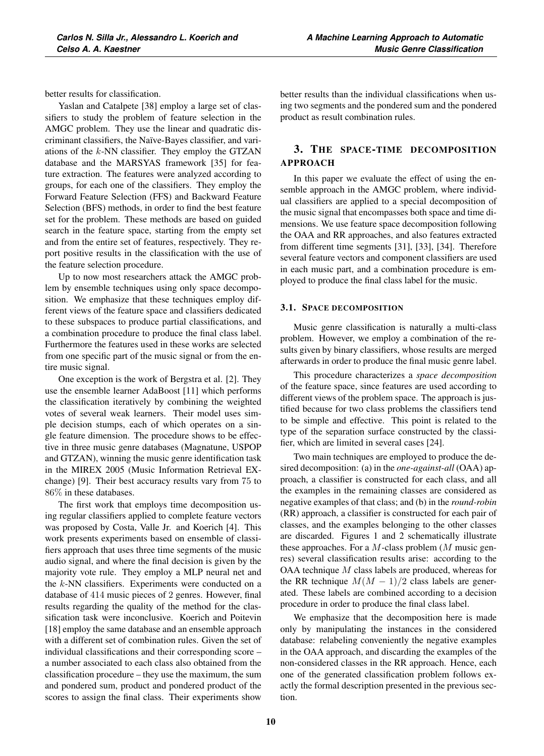better results for classification.

Yaslan and Catalpete [38] employ a large set of classifiers to study the problem of feature selection in the AMGC problem. They use the linear and quadratic discriminant classifiers, the Naïve-Bayes classifier, and variations of the  $k$ -NN classifier. They employ the GTZAN database and the MARSYAS framework [35] for feature extraction. The features were analyzed according to groups, for each one of the classifiers. They employ the Forward Feature Selection (FFS) and Backward Feature Selection (BFS) methods, in order to find the best feature set for the problem. These methods are based on guided search in the feature space, starting from the empty set and from the entire set of features, respectively. They report positive results in the classification with the use of the feature selection procedure.

Up to now most researchers attack the AMGC problem by ensemble techniques using only space decomposition. We emphasize that these techniques employ different views of the feature space and classifiers dedicated to these subspaces to produce partial classifications, and a combination procedure to produce the final class label. Furthermore the features used in these works are selected from one specific part of the music signal or from the entire music signal.

One exception is the work of Bergstra et al. [2]. They use the ensemble learner AdaBoost [11] which performs the classification iteratively by combining the weighted votes of several weak learners. Their model uses simple decision stumps, each of which operates on a single feature dimension. The procedure shows to be effective in three music genre databases (Magnatune, USPOP and GTZAN), winning the music genre identification task in the MIREX 2005 (Music Information Retrieval EXchange) [9]. Their best accuracy results vary from 75 to 86% in these databases.

The first work that employs time decomposition using regular classifiers applied to complete feature vectors was proposed by Costa, Valle Jr. and Koerich [4]. This work presents experiments based on ensemble of classifiers approach that uses three time segments of the music audio signal, and where the final decision is given by the majority vote rule. They employ a MLP neural net and the  $k$ -NN classifiers. Experiments were conducted on a database of 414 music pieces of 2 genres. However, final results regarding the quality of the method for the classification task were inconclusive. Koerich and Poitevin [18] employ the same database and an ensemble approach with a different set of combination rules. Given the set of individual classifications and their corresponding score – a number associated to each class also obtained from the classification procedure – they use the maximum, the sum and pondered sum, product and pondered product of the scores to assign the final class. Their experiments show better results than the individual classifications when using two segments and the pondered sum and the pondered product as result combination rules.

# 3. THE SPACE-TIME DECOMPOSITION APPROACH

In this paper we evaluate the effect of using the ensemble approach in the AMGC problem, where individual classifiers are applied to a special decomposition of the music signal that encompasses both space and time dimensions. We use feature space decomposition following the OAA and RR approaches, and also features extracted from different time segments [31], [33], [34]. Therefore several feature vectors and component classifiers are used in each music part, and a combination procedure is employed to produce the final class label for the music.

## 3.1. SPACE DECOMPOSITION

Music genre classification is naturally a multi-class problem. However, we employ a combination of the results given by binary classifiers, whose results are merged afterwards in order to produce the final music genre label.

This procedure characterizes a *space decomposition* of the feature space, since features are used according to different views of the problem space. The approach is justified because for two class problems the classifiers tend to be simple and effective. This point is related to the type of the separation surface constructed by the classifier, which are limited in several cases [24].

Two main techniques are employed to produce the desired decomposition: (a) in the *one-against-all* (OAA) approach, a classifier is constructed for each class, and all the examples in the remaining classes are considered as negative examples of that class; and (b) in the *round-robin* (RR) approach, a classifier is constructed for each pair of classes, and the examples belonging to the other classes are discarded. Figures 1 and 2 schematically illustrate these approaches. For a  $M$ -class problem ( $M$  music genres) several classification results arise: according to the OAA technique M class labels are produced, whereas for the RR technique  $M(M - 1)/2$  class labels are generated. These labels are combined according to a decision procedure in order to produce the final class label.

We emphasize that the decomposition here is made only by manipulating the instances in the considered database: relabeling conveniently the negative examples in the OAA approach, and discarding the examples of the non-considered classes in the RR approach. Hence, each one of the generated classification problem follows exactly the formal description presented in the previous section.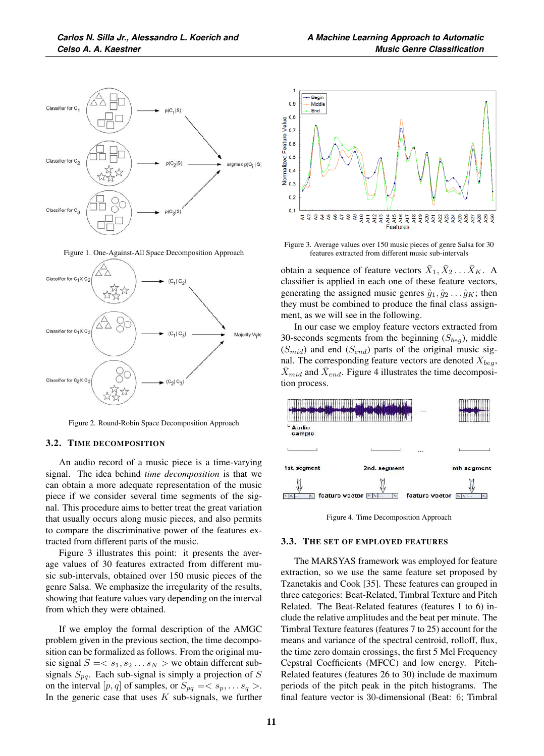

Figure 1. One-Against-All Space Decomposition Approach



Figure 2. Round-Robin Space Decomposition Approach

### 3.2. TIME DECOMPOSITION

An audio record of a music piece is a time-varying signal. The idea behind *time decomposition* is that we can obtain a more adequate representation of the music piece if we consider several time segments of the signal. This procedure aims to better treat the great variation that usually occurs along music pieces, and also permits to compare the discriminative power of the features extracted from different parts of the music.

Figure 3 illustrates this point: it presents the average values of 30 features extracted from different music sub-intervals, obtained over 150 music pieces of the genre Salsa. We emphasize the irregularity of the results, showing that feature values vary depending on the interval from which they were obtained.

If we employ the formal description of the AMGC problem given in the previous section, the time decomposition can be formalized as follows. From the original music signal  $S = \langle s_1, s_2 \dots s_N \rangle$  we obtain different subsignals  $S_{pq}$ . Each sub-signal is simply a projection of S on the interval  $[p, q]$  of samples, or  $S_{pq} = \langle s_p, \dots s_q \rangle$ . In the generic case that uses  $K$  sub-signals, we further



Figure 3. Average values over 150 music pieces of genre Salsa for 30 features extracted from different music sub-intervals

obtain a sequence of feature vectors  $X_1, X_2 \ldots X_K$ . A classifier is applied in each one of these feature vectors, generating the assigned music genres  $\hat{g}_1, \hat{g}_2 \dots \hat{g}_K$ ; then they must be combined to produce the final class assignment, as we will see in the following.

In our case we employ feature vectors extracted from 30-seconds segments from the beginning  $(S_{beg})$ , middle  $(S_{mid})$  and end  $(S_{end})$  parts of the original music signal. The corresponding feature vectors are denoted  $\bar{X}_{beg}$ ,  $\bar{X}_{mid}$  and  $\bar{X}_{end}$ . Figure 4 illustrates the time decomposition process.



Figure 4. Time Decomposition Approach

#### 3.3. THE SET OF EMPLOYED FEATURES

The MARSYAS framework was employed for feature extraction, so we use the same feature set proposed by Tzanetakis and Cook [35]. These features can grouped in three categories: Beat-Related, Timbral Texture and Pitch Related. The Beat-Related features (features 1 to 6) include the relative amplitudes and the beat per minute. The Timbral Texture features (features 7 to 25) account for the means and variance of the spectral centroid, rolloff, flux, the time zero domain crossings, the first 5 Mel Frequency Cepstral Coefficients (MFCC) and low energy. Pitch-Related features (features 26 to 30) include de maximum periods of the pitch peak in the pitch histograms. The final feature vector is 30-dimensional (Beat: 6; Timbral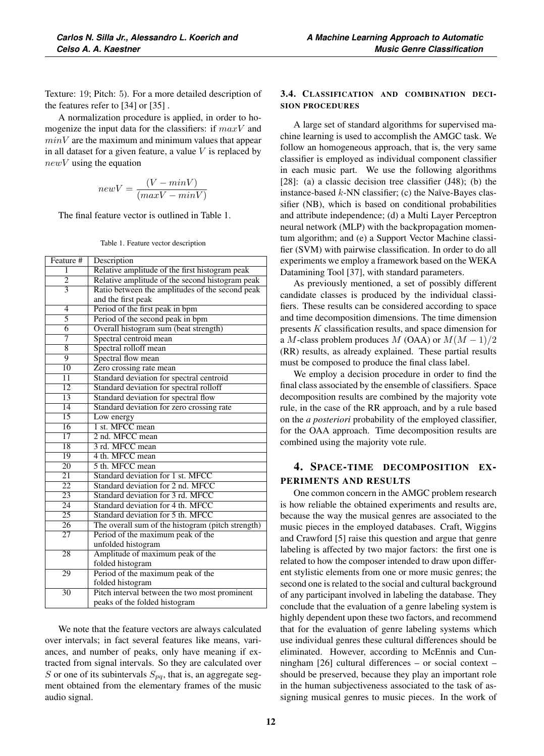Texture: 19; Pitch: 5). For a more detailed description of the features refer to [34] or [35] .

A normalization procedure is applied, in order to homogenize the input data for the classifiers: if  $maxV$  and  $minV$  are the maximum and minimum values that appear in all dataset for a given feature, a value  $V$  is replaced by  $newV$  using the equation

$$
newV = \frac{(V - minV)}{(maxV - minV)}
$$

The final feature vector is outlined in Table 1.

|  |  |  | Table 1. Feature vector description |
|--|--|--|-------------------------------------|
|--|--|--|-------------------------------------|

| Feature #                | Description                                       |
|--------------------------|---------------------------------------------------|
| $\overline{1}$           | Relative amplitude of the first histogram peak    |
| $\overline{2}$           | Relative amplitude of the second histogram peak   |
| $\overline{\mathcal{E}}$ | Ratio between the amplitudes of the second peak   |
|                          | and the first peak                                |
| 4                        | Period of the first peak in bpm                   |
| 5                        | Period of the second peak in bpm                  |
| $\overline{6}$           | Overall histogram sum (beat strength)             |
| 7                        | Spectral centroid mean                            |
| $\overline{8}$           | Spectral rolloff mean                             |
| 9                        | Spectral flow mean                                |
| $\overline{10}$          | Zero crossing rate mean                           |
| $\overline{11}$          | Standard deviation for spectral centroid          |
| $\overline{12}$          | Standard deviation for spectral rolloff           |
| $\overline{13}$          | Standard deviation for spectral flow              |
| $\overline{14}$          | Standard deviation for zero crossing rate         |
| $\overline{15}$          | Low energy                                        |
| $\overline{16}$          | 1 st. MFCC mean                                   |
| $\overline{17}$          | 2 nd. MFCC mean                                   |
| 18                       | 3 rd. MFCC mean                                   |
| $\overline{19}$          | 4 th. MFCC mean                                   |
| $\overline{20}$          | 5 th. MFCC mean                                   |
| $\overline{21}$          | Standard deviation for 1 st. MFCC                 |
| $\overline{22}$          | Standard deviation for 2 nd. MFCC                 |
| 23                       | Standard deviation for 3 rd. MFCC                 |
| $\overline{24}$          | Standard deviation for 4 th. MFCC                 |
| $\overline{25}$          | Standard deviation for 5 th. MFCC                 |
| $\overline{26}$          | The overall sum of the histogram (pitch strength) |
| $\overline{27}$          | Period of the maximum peak of the                 |
|                          | unfolded histogram                                |
| 28                       | Amplitude of maximum peak of the                  |
|                          | folded histogram                                  |
| 29                       | Period of the maximum peak of the                 |
|                          | folded histogram                                  |
| $\overline{30}$          | Pitch interval between the two most prominent     |
|                          | peaks of the folded histogram                     |

We note that the feature vectors are always calculated over intervals; in fact several features like means, variances, and number of peaks, only have meaning if extracted from signal intervals. So they are calculated over S or one of its subintervals  $S_{pa}$ , that is, an aggregate segment obtained from the elementary frames of the music audio signal.

## 3.4. CLASSIFICATION AND COMBINATION DECI-SION PROCEDURES

A large set of standard algorithms for supervised machine learning is used to accomplish the AMGC task. We follow an homogeneous approach, that is, the very same classifier is employed as individual component classifier in each music part. We use the following algorithms [28]: (a) a classic decision tree classifier (J48); (b) the instance-based  $k$ -NN classifier; (c) the Naïve-Bayes classifier (NB), which is based on conditional probabilities and attribute independence; (d) a Multi Layer Perceptron neural network (MLP) with the backpropagation momentum algorithm; and (e) a Support Vector Machine classifier (SVM) with pairwise classification. In order to do all experiments we employ a framework based on the WEKA Datamining Tool [37], with standard parameters.

As previously mentioned, a set of possibly different candidate classes is produced by the individual classifiers. These results can be considered according to space and time decomposition dimensions. The time dimension presents K classification results, and space dimension for a M-class problem produces M (OAA) or  $M(M-1)/2$ (RR) results, as already explained. These partial results must be composed to produce the final class label.

We employ a decision procedure in order to find the final class associated by the ensemble of classifiers. Space decomposition results are combined by the majority vote rule, in the case of the RR approach, and by a rule based on the *a posteriori* probability of the employed classifier, for the OAA approach. Time decomposition results are combined using the majority vote rule.

# 4. SPACE-TIME DECOMPOSITION EX-PERIMENTS AND RESULTS

One common concern in the AMGC problem research is how reliable the obtained experiments and results are, because the way the musical genres are associated to the music pieces in the employed databases. Craft, Wiggins and Crawford [5] raise this question and argue that genre labeling is affected by two major factors: the first one is related to how the composer intended to draw upon different stylistic elements from one or more music genres; the second one is related to the social and cultural background of any participant involved in labeling the database. They conclude that the evaluation of a genre labeling system is highly dependent upon these two factors, and recommend that for the evaluation of genre labeling systems which use individual genres these cultural differences should be eliminated. However, according to McEnnis and Cunningham [26] cultural differences – or social context – should be preserved, because they play an important role in the human subjectiveness associated to the task of assigning musical genres to music pieces. In the work of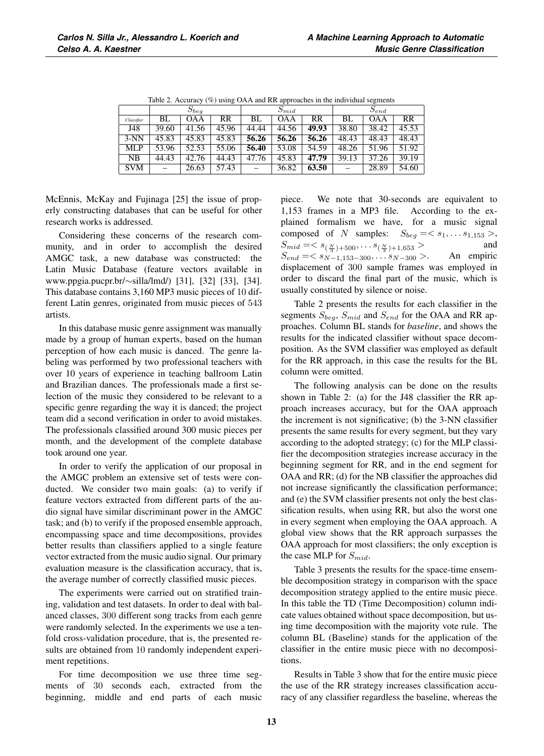|            | $S_{beq}$ |       |           | $S_{mid}$ |            |       | $S_{end}$ |            |       |
|------------|-----------|-------|-----------|-----------|------------|-------|-----------|------------|-------|
| Classifier | BL        | OAA   | <b>RR</b> | BL        | <b>OAA</b> | RR    | BL        | <b>OAA</b> | RR    |
| J48        | 39.60     | 41.56 | 45.96     | 44.44     | 44.56      | 49.93 | 38.80     | 38.42      | 45.53 |
| $3-NN$     | 45.83     | 45.83 | 45.83     | 56.26     | 56.26      | 56.26 | 48.43     | 48.43      | 48.43 |
| MLP        | 53.96     | 52.53 | 55.06     | 56.40     | 53.08      | 54.59 | 48.26     | 51.96      | 51.92 |
| NB         | 44.43     | 42.76 | 44.43     | 47.76     | 45.83      | 47.79 | 39.13     | 37.26      | 39.19 |
| <b>SVM</b> |           | 26.63 | 57.43     |           | 36.82      | 63.50 |           | 28.89      | 54.60 |

Table 2. Accuracy (%) using OAA and RR approaches in the individual segments

McEnnis, McKay and Fujinaga [25] the issue of properly constructing databases that can be useful for other research works is addressed.

Considering these concerns of the research community, and in order to accomplish the desired AMGC task, a new database was constructed: the Latin Music Database (feature vectors available in www.ppgia.pucpr.br/∼silla/lmd/) [31], [32] [33], [34]. This database contains 3,160 MP3 music pieces of 10 different Latin genres, originated from music pieces of 543 artists.

In this database music genre assignment was manually made by a group of human experts, based on the human perception of how each music is danced. The genre labeling was performed by two professional teachers with over 10 years of experience in teaching ballroom Latin and Brazilian dances. The professionals made a first selection of the music they considered to be relevant to a specific genre regarding the way it is danced; the project team did a second verification in order to avoid mistakes. The professionals classified around 300 music pieces per month, and the development of the complete database took around one year.

In order to verify the application of our proposal in the AMGC problem an extensive set of tests were conducted. We consider two main goals: (a) to verify if feature vectors extracted from different parts of the audio signal have similar discriminant power in the AMGC task; and (b) to verify if the proposed ensemble approach, encompassing space and time decompositions, provides better results than classifiers applied to a single feature vector extracted from the music audio signal. Our primary evaluation measure is the classification accuracy, that is, the average number of correctly classified music pieces.

The experiments were carried out on stratified training, validation and test datasets. In order to deal with balanced classes, 300 different song tracks from each genre were randomly selected. In the experiments we use a tenfold cross-validation procedure, that is, the presented results are obtained from 10 randomly independent experiment repetitions.

For time decomposition we use three time segments of 30 seconds each, extracted from the beginning, middle and end parts of each music piece. We note that 30-seconds are equivalent to 1,153 frames in a MP3 file. According to the explained formalism we have, for a music signal composed of N samples:  $S_{beg} = \langle s_1, \ldots s_{1,153} \rangle$ ,<br>  $S_{mid} = \langle s_{(N)1,500}, \ldots s_{(N)1,1,652} \rangle$  and  $S_{mid} = \langle s_{(\frac{N}{3})+500}, \ldots s_{(\frac{N}{3})+1,653} \rangle$  and<br>S<sub>1</sub> =  $\langle s_{\frac{N}{3}}, \ldots s_{\frac{N}{3}} \rangle$  and  $S_{end} = \langle s_{N-1,153-300}, \dots s_{N-300} \rangle$ . An empiric displacement of 300 sample frames was employed in order to discard the final part of the music, which is usually constituted by silence or noise.

Table 2 presents the results for each classifier in the segments  $S_{beg}$ ,  $S_{mid}$  and  $S_{end}$  for the OAA and RR approaches. Column BL stands for *baseline*, and shows the results for the indicated classifier without space decomposition. As the SVM classifier was employed as default for the RR approach, in this case the results for the BL column were omitted.

The following analysis can be done on the results shown in Table 2: (a) for the J48 classifier the RR approach increases accuracy, but for the OAA approach the increment is not significative; (b) the 3-NN classifier presents the same results for every segment, but they vary according to the adopted strategy; (c) for the MLP classifier the decomposition strategies increase accuracy in the beginning segment for RR, and in the end segment for OAA and RR; (d) for the NB classifier the approaches did not increase significantly the classification performance; and (e) the SVM classifier presents not only the best classification results, when using RR, but also the worst one in every segment when employing the OAA approach. A global view shows that the RR approach surpasses the OAA approach for most classifiers; the only exception is the case MLP for  $S_{mid}$ .

Table 3 presents the results for the space-time ensemble decomposition strategy in comparison with the space decomposition strategy applied to the entire music piece. In this table the TD (Time Decomposition) column indicate values obtained without space decomposition, but using time decomposition with the majority vote rule. The column BL (Baseline) stands for the application of the classifier in the entire music piece with no decompositions.

Results in Table 3 show that for the entire music piece the use of the RR strategy increases classification accuracy of any classifier regardless the baseline, whereas the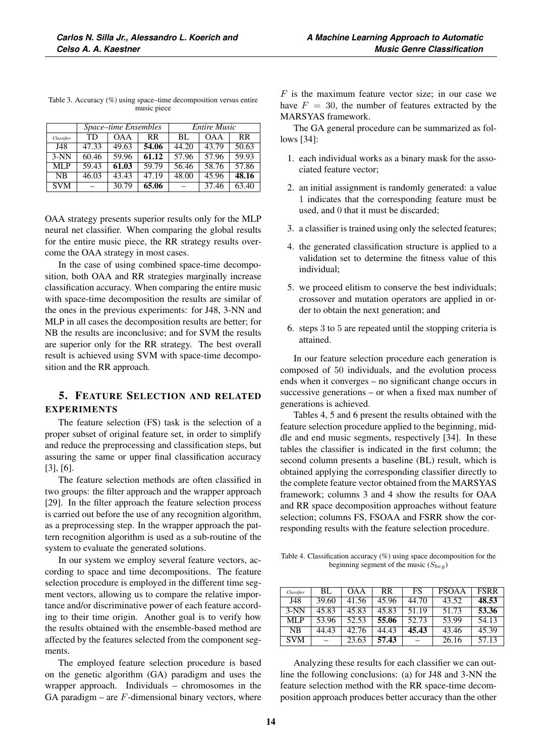|            |       | Space-time Ensembles |           | <b>Entire Music</b> |            |           |  |
|------------|-------|----------------------|-----------|---------------------|------------|-----------|--|
| Classifier | TD    | <b>OAA</b>           | <b>RR</b> | BL                  | <b>OAA</b> | <b>RR</b> |  |
| J48        | 47.33 | 49.63                | 54.06     | 44.20               | 43.79      | 50.63     |  |
| $3-NN$     | 60.46 | 59.96                | 61.12     | 57.96               | 57.96      | 59.93     |  |
| MLP        | 59.43 | 61.03                | 59.79     | 56.46               | 58.76      | 57.86     |  |
| <b>NB</b>  | 46.03 | 43.43                | 47.19     | 48.00               | 45.96      | 48.16     |  |
| <b>SVM</b> |       | 30.79                | 65.06     |                     | 37.46      | 63.40     |  |

Table 3. Accuracy (%) using space–time decomposition versus entire music piece

OAA strategy presents superior results only for the MLP neural net classifier. When comparing the global results for the entire music piece, the RR strategy results overcome the OAA strategy in most cases.

In the case of using combined space-time decomposition, both OAA and RR strategies marginally increase classification accuracy. When comparing the entire music with space-time decomposition the results are similar of the ones in the previous experiments: for J48, 3-NN and MLP in all cases the decomposition results are better; for NB the results are inconclusive; and for SVM the results are superior only for the RR strategy. The best overall result is achieved using SVM with space-time decomposition and the RR approach.

# 5. FEATURE SELECTION AND RELATED EXPERIMENTS

The feature selection (FS) task is the selection of a proper subset of original feature set, in order to simplify and reduce the preprocessing and classification steps, but assuring the same or upper final classification accuracy [3], [6].

The feature selection methods are often classified in two groups: the filter approach and the wrapper approach [29]. In the filter approach the feature selection process is carried out before the use of any recognition algorithm, as a preprocessing step. In the wrapper approach the pattern recognition algorithm is used as a sub-routine of the system to evaluate the generated solutions.

In our system we employ several feature vectors, according to space and time decompositions. The feature selection procedure is employed in the different time segment vectors, allowing us to compare the relative importance and/or discriminative power of each feature according to their time origin. Another goal is to verify how the results obtained with the ensemble-based method are affected by the features selected from the component segments.

The employed feature selection procedure is based on the genetic algorithm (GA) paradigm and uses the wrapper approach. Individuals – chromosomes in the GA paradigm – are  $F$ -dimensional binary vectors, where

 $F$  is the maximum feature vector size; in our case we have  $F = 30$ , the number of features extracted by the MARSYAS framework.

The GA general procedure can be summarized as follows [34]:

- 1. each individual works as a binary mask for the associated feature vector;
- 2. an initial assignment is randomly generated: a value 1 indicates that the corresponding feature must be used, and 0 that it must be discarded;
- 3. a classifier is trained using only the selected features;
- 4. the generated classification structure is applied to a validation set to determine the fitness value of this individual;
- 5. we proceed elitism to conserve the best individuals; crossover and mutation operators are applied in order to obtain the next generation; and
- 6. steps 3 to 5 are repeated until the stopping criteria is attained.

In our feature selection procedure each generation is composed of 50 individuals, and the evolution process ends when it converges – no significant change occurs in successive generations – or when a fixed max number of generations is achieved.

Tables 4, 5 and 6 present the results obtained with the feature selection procedure applied to the beginning, middle and end music segments, respectively [34]. In these tables the classifier is indicated in the first column; the second column presents a baseline (BL) result, which is obtained applying the corresponding classifier directly to the complete feature vector obtained from the MARSYAS framework; columns 3 and 4 show the results for OAA and RR space decomposition approaches without feature selection; columns FS, FSOAA and FSRR show the corresponding results with the feature selection procedure.

Table 4. Classification accuracy (%) using space decomposition for the beginning segment of the music  $(S_{beg})$ 

| Classifier | BL.   | <b>OAA</b> | RR.   | FS    | <b>FSOAA</b> | <b>FSRR</b> |
|------------|-------|------------|-------|-------|--------------|-------------|
| J48        | 39.60 | 41.56      | 45.96 | 44.70 | 43.52        | 48.53       |
| $3-NN$     | 45.83 | 45.83      | 45.83 | 51.19 | 51.73        | 53.36       |
| MLP        | 53.96 | 52.53      | 55.06 | 52.73 | 53.99        | 54.13       |
| <b>NB</b>  | 44.43 | 42.76      | 44.43 | 45.43 | 43.46        | 45.39       |
| <b>SVM</b> |       | 23.63      | 57.43 |       | 26.16        | 57.13       |

Analyzing these results for each classifier we can outline the following conclusions: (a) for J48 and 3-NN the feature selection method with the RR space-time decomposition approach produces better accuracy than the other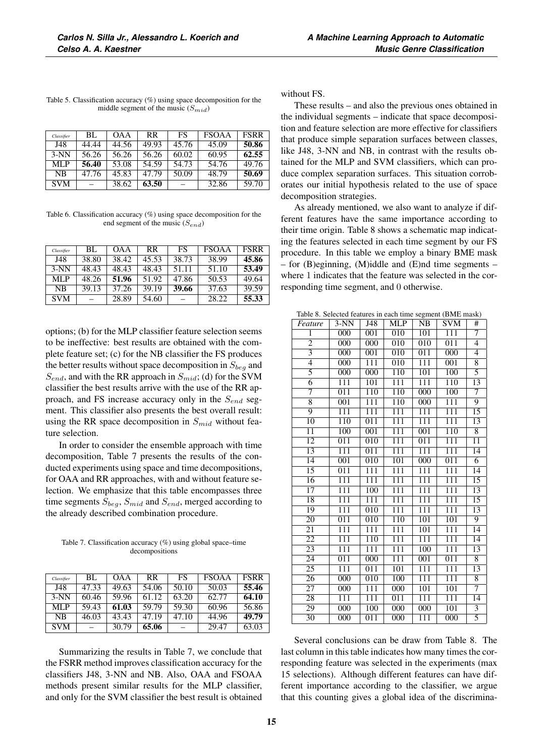| Classifier     | BL.   | <b>OAA</b> | RR    | FS    | <b>FSOAA</b> | <b>FSRR</b> |
|----------------|-------|------------|-------|-------|--------------|-------------|
| J48            | 44.44 | 44.56      | 49.93 | 45.76 | 45.09        | 50.86       |
| $3-NN$         | 56.26 | 56.26      | 56.26 | 60.02 | 60.95        | 62.55       |
| MLP            | 56.40 | 53.08      | 54.59 | 54.73 | 54.76        | 49.76       |
| N <sub>R</sub> | 47.76 | 45.83      | 47.79 | 50.09 | 48.79        | 50.69       |
| <b>SVM</b>     |       | 38.62      | 63.50 |       | 32.86        | 59.70       |

Table 5. Classification accuracy (%) using space decomposition for the middle segment of the music  $(S_{mid})$ 

Table 6. Classification accuracy (%) using space decomposition for the end segment of the music  $(S_{end})$ 

| Classifier | BL.   | <b>OAA</b> | <b>RR</b> | FS    | <b>FSOAA</b> | <b>FSRR</b> |
|------------|-------|------------|-----------|-------|--------------|-------------|
| J48        | 38.80 | 38.42      | 45.53     | 38.73 | 38.99        | 45.86       |
| $3-NN$     | 48.43 | 48.43      | 48.43     | 51.11 | 51.10        | 53.49       |
| MLP        | 48.26 | 51.96      | 51.92     | 47.86 | 50.53        | 49.64       |
| NB         | 39.13 | 37.26      | 39.19     | 39.66 | 37.63        | 39.59       |
| <b>SVM</b> |       | 28.89      | 54.60     |       | 28.22        | 55.33       |

options; (b) for the MLP classifier feature selection seems to be ineffective: best results are obtained with the complete feature set; (c) for the NB classifier the FS produces the better results without space decomposition in  $S_{beg}$  and  $S_{end}$ , and with the RR approach in  $S_{mid}$ ; (d) for the SVM classifier the best results arrive with the use of the RR approach, and FS increase accuracy only in the  $S_{end}$  segment. This classifier also presents the best overall result: using the RR space decomposition in  $S_{mid}$  without feature selection.

In order to consider the ensemble approach with time decomposition, Table 7 presents the results of the conducted experiments using space and time decompositions, for OAA and RR approaches, with and without feature selection. We emphasize that this table encompasses three time segments  $S_{beq}$ ,  $S_{mid}$  and  $S_{end}$ , merged according to the already described combination procedure.

Table 7. Classification accuracy (%) using global space–time decompositions

| Classifier | BL.   | <b>OAA</b> | <b>RR</b> | FS    | <b>FSOAA</b> | <b>FSRR</b> |
|------------|-------|------------|-----------|-------|--------------|-------------|
| J48        | 47.33 | 49.63      | 54.06     | 50.10 | 50.03        | 55.46       |
| $3-NN$     | 60.46 | 59.96      | 61.12     | 63.20 | 62.77        | 64.10       |
| MLP        | 59.43 | 61.03      | 59.79     | 59.30 | 60.96        | 56.86       |
| NB         | 46.03 | 43.43      | 47.19     | 47.10 | 44.96        | 49.79       |
| <b>SVM</b> |       | 30.79      | 65.06     |       | 29.47        | 63.03       |

Summarizing the results in Table 7, we conclude that the FSRR method improves classification accuracy for the classifiers J48, 3-NN and NB. Also, OAA and FSOAA methods present similar results for the MLP classifier, and only for the SVM classifier the best result is obtained without FS.

These results – and also the previous ones obtained in the individual segments – indicate that space decomposition and feature selection are more effective for classifiers that produce simple separation surfaces between classes, like J48, 3-NN and NB, in contrast with the results obtained for the MLP and SVM classifiers, which can produce complex separation surfaces. This situation corroborates our initial hypothesis related to the use of space decomposition strategies.

As already mentioned, we also want to analyze if different features have the same importance according to their time origin. Table 8 shows a schematic map indicating the features selected in each time segment by our FS procedure. In this table we employ a binary BME mask – for (B)eginning, (M)iddle and (E)nd time segments – where 1 indicates that the feature was selected in the corresponding time segment, and 0 otherwise.

Table 8. Selected features in each time segment (BME mask)

| Feature         | $3-NN$           | $\overline{J48}$ | <b>MLP</b>       | $\overline{\text{NB}}$ | <b>SVM</b>       | $_{\#}$         |
|-----------------|------------------|------------------|------------------|------------------------|------------------|-----------------|
| $\overline{1}$  | $\overline{000}$ | 001              | $\overline{010}$ | 101                    | $\overline{111}$ | 7               |
| $\overline{2}$  | $\overline{000}$ | 000              | $\overline{010}$ | $\overline{010}$       | $\overline{011}$ | $\overline{4}$  |
| $\overline{3}$  | $\overline{000}$ | $\overline{001}$ | 010              | $\overline{011}$       | 000              | $\overline{4}$  |
| $\overline{4}$  | $\overline{000}$ | $\overline{111}$ | $\overline{010}$ | 111                    | $\overline{001}$ | 8               |
| 5               | $\overline{000}$ | $\overline{000}$ | 110              | 101                    | 100              | $\overline{5}$  |
| $\overline{6}$  | $\overline{111}$ | 101              | $\overline{111}$ | $\overline{111}$       | 110              | $\overline{13}$ |
| 7               | $\overline{011}$ | 110              | 110              | $\overline{000}$       | 100              | 7               |
| $\overline{8}$  | $\overline{001}$ | $\overline{111}$ | 110              | 000                    | $\overline{111}$ | 9               |
| $\overline{9}$  | $\overline{111}$ | $\overline{111}$ | $\overline{111}$ | $\overline{111}$       | $\overline{111}$ | $\overline{15}$ |
| 10              | 110              | $\overline{011}$ | $\overline{111}$ | $\overline{111}$       | $\overline{111}$ | 13              |
| $\overline{11}$ | 100              | $\overline{001}$ | $\overline{111}$ | $\overline{001}$       | 110              | $\overline{8}$  |
| $\overline{12}$ | $\overline{011}$ | $\overline{010}$ | $\overline{111}$ | $\overline{011}$       | $\overline{111}$ | $\overline{11}$ |
| $\overline{13}$ | $\overline{111}$ | $\overline{011}$ | 111              | $\overline{111}$       | $\overline{111}$ | $\overline{14}$ |
| $\overline{14}$ | $\overline{001}$ | $\overline{010}$ | $\overline{101}$ | 000                    | $\overline{011}$ | $\overline{6}$  |
| 15              | $\overline{011}$ | 111              | 111              | $\overline{111}$       | $\overline{111}$ | 14              |
| $\overline{16}$ | $\overline{111}$ | $\overline{111}$ | $\overline{111}$ | $\overline{111}$       | $\overline{111}$ | $\overline{15}$ |
| $\overline{17}$ | $\overline{111}$ | $\overline{100}$ | $\overline{111}$ | $\overline{111}$       | $\overline{111}$ | $\overline{13}$ |
| 18              | $\overline{111}$ | $\overline{111}$ | $\overline{111}$ | $\overline{111}$       | $\overline{111}$ | $\overline{15}$ |
| 19              | $\overline{111}$ | $\overline{010}$ | $\overline{111}$ | $\overline{111}$       | $\overline{111}$ | 13              |
| 20              | 011              | 010              | 110              | 101                    | 101              | 9               |
| $\overline{21}$ | $\overline{111}$ | $\overline{111}$ | 111              | 101                    | $\overline{111}$ | $\overline{14}$ |
| $\overline{22}$ | $\overline{111}$ | 110              | $\overline{111}$ | $\overline{111}$       | $\overline{111}$ | $\overline{14}$ |
| 23              | 111              | $\overline{111}$ | 111              | 100                    | $\overline{111}$ | 13              |
| $\overline{24}$ | $\overline{011}$ | $\overline{000}$ | $\overline{111}$ | $\overline{001}$       | $\overline{011}$ | $\overline{8}$  |
| $\overline{25}$ | $\overline{111}$ | $\overline{011}$ | $\overline{101}$ | $\overline{111}$       | $\overline{111}$ | $\overline{13}$ |
| 26              | 000              | 010              | 100              | $\overline{111}$       | $\overline{111}$ | 8               |
| $\overline{27}$ | $\overline{000}$ | $\overline{111}$ | $\overline{000}$ | 101                    | 101              | 7               |
| $\overline{28}$ | $\overline{111}$ | $\overline{111}$ | $\overline{011}$ | $\overline{111}$       | $\overline{111}$ | $\overline{14}$ |
| 29              | 000              | 100              | 000              | $\overline{000}$       | 101              | $\overline{3}$  |
| $\overline{30}$ | 000              | $\overline{011}$ | $\overline{000}$ | 111                    | $\overline{000}$ | $\overline{5}$  |

Several conclusions can be draw from Table 8. The last column in this table indicates how many times the corresponding feature was selected in the experiments (max 15 selections). Although different features can have different importance according to the classifier, we argue that this counting gives a global idea of the discrimina-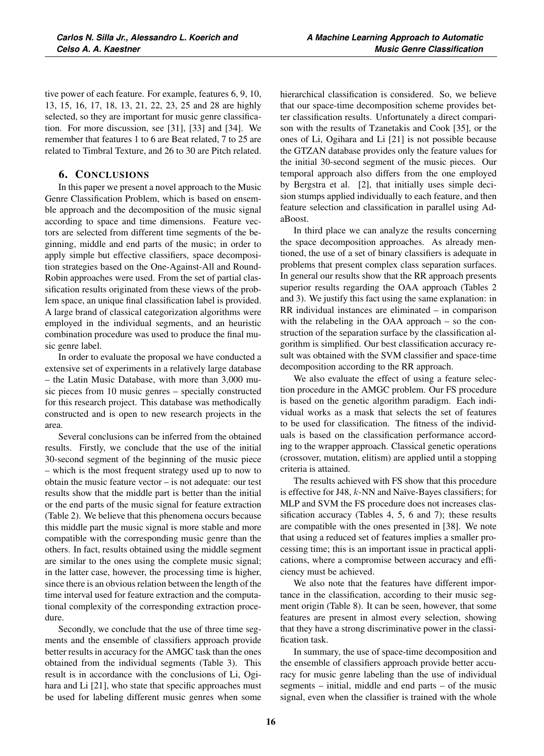tive power of each feature. For example, features 6, 9, 10, 13, 15, 16, 17, 18, 13, 21, 22, 23, 25 and 28 are highly selected, so they are important for music genre classification. For more discussion, see [31], [33] and [34]. We remember that features 1 to 6 are Beat related, 7 to 25 are related to Timbral Texture, and 26 to 30 are Pitch related.

# 6. CONCLUSIONS

In this paper we present a novel approach to the Music Genre Classification Problem, which is based on ensemble approach and the decomposition of the music signal according to space and time dimensions. Feature vectors are selected from different time segments of the beginning, middle and end parts of the music; in order to apply simple but effective classifiers, space decomposition strategies based on the One-Against-All and Round-Robin approaches were used. From the set of partial classification results originated from these views of the problem space, an unique final classification label is provided. A large brand of classical categorization algorithms were employed in the individual segments, and an heuristic combination procedure was used to produce the final music genre label.

In order to evaluate the proposal we have conducted a extensive set of experiments in a relatively large database – the Latin Music Database, with more than 3,000 music pieces from 10 music genres – specially constructed for this research project. This database was methodically constructed and is open to new research projects in the area.

Several conclusions can be inferred from the obtained results. Firstly, we conclude that the use of the initial 30-second segment of the beginning of the music piece – which is the most frequent strategy used up to now to obtain the music feature vector – is not adequate: our test results show that the middle part is better than the initial or the end parts of the music signal for feature extraction (Table 2). We believe that this phenomena occurs because this middle part the music signal is more stable and more compatible with the corresponding music genre than the others. In fact, results obtained using the middle segment are similar to the ones using the complete music signal; in the latter case, however, the processing time is higher, since there is an obvious relation between the length of the time interval used for feature extraction and the computational complexity of the corresponding extraction procedure.

Secondly, we conclude that the use of three time segments and the ensemble of classifiers approach provide better results in accuracy for the AMGC task than the ones obtained from the individual segments (Table 3). This result is in accordance with the conclusions of Li, Ogihara and Li [21], who state that specific approaches must be used for labeling different music genres when some hierarchical classification is considered. So, we believe that our space-time decomposition scheme provides better classification results. Unfortunately a direct comparison with the results of Tzanetakis and Cook [35], or the ones of Li, Ogihara and Li [21] is not possible because the GTZAN database provides only the feature values for the initial 30-second segment of the music pieces. Our temporal approach also differs from the one employed by Bergstra et al. [2], that initially uses simple decision stumps applied individually to each feature, and then feature selection and classification in parallel using AdaBoost.

In third place we can analyze the results concerning the space decomposition approaches. As already mentioned, the use of a set of binary classifiers is adequate in problems that present complex class separation surfaces. In general our results show that the RR approach presents superior results regarding the OAA approach (Tables 2 and 3). We justify this fact using the same explanation: in RR individual instances are eliminated – in comparison with the relabeling in the OAA approach – so the construction of the separation surface by the classification algorithm is simplified. Our best classification accuracy result was obtained with the SVM classifier and space-time decomposition according to the RR approach.

We also evaluate the effect of using a feature selection procedure in the AMGC problem. Our FS procedure is based on the genetic algorithm paradigm. Each individual works as a mask that selects the set of features to be used for classification. The fitness of the individuals is based on the classification performance according to the wrapper approach. Classical genetic operations (crossover, mutation, elitism) are applied until a stopping criteria is attained.

The results achieved with FS show that this procedure is effective for J48, k-NN and Naïve-Bayes classifiers; for MLP and SVM the FS procedure does not increases classification accuracy (Tables 4, 5, 6 and 7); these results are compatible with the ones presented in [38]. We note that using a reduced set of features implies a smaller processing time; this is an important issue in practical applications, where a compromise between accuracy and efficiency must be achieved.

We also note that the features have different importance in the classification, according to their music segment origin (Table 8). It can be seen, however, that some features are present in almost every selection, showing that they have a strong discriminative power in the classification task.

In summary, the use of space-time decomposition and the ensemble of classifiers approach provide better accuracy for music genre labeling than the use of individual segments – initial, middle and end parts – of the music signal, even when the classifier is trained with the whole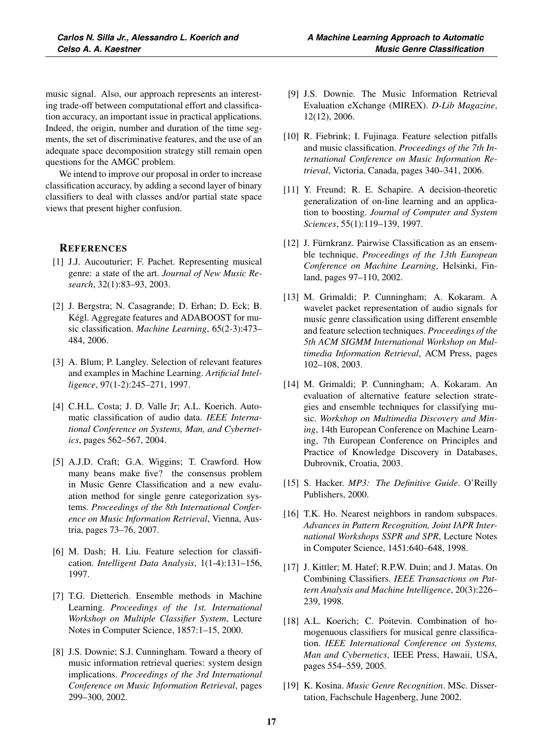music signal. Also, our approach represents an interesting trade-off between computational effort and classification accuracy, an important issue in practical applications. Indeed, the origin, number and duration of the time segments, the set of discriminative features, and the use of an adequate space decomposition strategy still remain open questions for the AMGC problem.

We intend to improve our proposal in order to increase classification accuracy, by adding a second layer of binary classifiers to deal with classes and/or partial state space views that present higher confusion.

## **REFERENCES**

- [1] J.J. Aucouturier; F. Pachet. Representing musical genre: a state of the art. *Journal of New Music Research*, 32(1):83–93, 2003.
- [2] J. Bergstra; N. Casagrande; D. Erhan; D. Eck; B. Kégl. Aggregate features and ADABOOST for music classification. *Machine Learning*, 65(2-3):473– 484, 2006.
- [3] A. Blum; P. Langley. Selection of relevant features and examples in Machine Learning. *Artificial Intelligence*, 97(1-2):245–271, 1997.
- [4] C.H.L. Costa; J. D. Valle Jr; A.L. Koerich. Automatic classification of audio data. *IEEE International Conference on Systems, Man, and Cybernetics*, pages 562–567, 2004.
- [5] A.J.D. Craft; G.A. Wiggins; T. Crawford. How many beans make five? the consensus problem in Music Genre Classification and a new evaluation method for single genre categorization systems. *Proceedings of the 8th International Conference on Music Information Retrieval*, Vienna, Austria, pages 73–76, 2007.
- [6] M. Dash; H. Liu. Feature selection for classification. *Intelligent Data Analysis*, 1(1-4):131–156, 1997.
- [7] T.G. Dietterich. Ensemble methods in Machine Learning. *Proceedings of the 1st. International Workshop on Multiple Classifier System*, Lecture Notes in Computer Science, 1857:1–15, 2000.
- [8] J.S. Downie; S.J. Cunningham. Toward a theory of music information retrieval queries: system design implications. *Proceedings of the 3rd International Conference on Music Information Retrieval*, pages 299–300, 2002.
- [9] J.S. Downie. The Music Information Retrieval Evaluation eXchange (MIREX). *D-Lib Magazine*, 12(12), 2006.
- [10] R. Fiebrink; I. Fujinaga. Feature selection pitfalls and music classification. *Proceedings of the 7th International Conference on Music Information Retrieval*, Victoria, Canada, pages 340–341, 2006.
- [11] Y. Freund; R. E. Schapire. A decision-theoretic generalization of on-line learning and an application to boosting. *Journal of Computer and System Sciences*, 55(1):119–139, 1997.
- [12] J. Fürnkranz. Pairwise Classification as an ensemble technique. *Proceedings of the 13th European Conference on Machine Learning*, Helsinki, Finland, pages 97–110, 2002.
- [13] M. Grimaldi; P. Cunningham; A. Kokaram. A wavelet packet representation of audio signals for music genre classification using different ensemble and feature selection techniques. *Proceedings of the 5th ACM SIGMM International Workshop on Multimedia Information Retrieval*, ACM Press, pages 102–108, 2003.
- [14] M. Grimaldi; P. Cunningham; A. Kokaram. An evaluation of alternative feature selection strategies and ensemble techniques for classifying music. *Workshop on Multimedia Discovery and Mining*, 14th European Conference on Machine Learning, 7th European Conference on Principles and Practice of Knowledge Discovery in Databases, Dubrovnik, Croatia, 2003.
- [15] S. Hacker. *MP3: The Definitive Guide*. O'Reilly Publishers, 2000.
- [16] T.K. Ho. Nearest neighbors in random subspaces. *Advances in Pattern Recognition, Joint IAPR International Workshops SSPR and SPR*, Lecture Notes in Computer Science, 1451:640–648, 1998.
- [17] J. Kittler; M. Hatef; R.P.W. Duin; and J. Matas. On Combining Classifiers. *IEEE Transactions on Pattern Analysis and Machine Intelligence*, 20(3):226– 239, 1998.
- [18] A.L. Koerich; C. Poitevin. Combination of homogenuous classifiers for musical genre classification. *IEEE International Conference on Systems, Man and Cybernetics*, IEEE Press, Hawaii, USA, pages 554–559, 2005.
- [19] K. Kosina. *Music Genre Recognition*. MSc. Dissertation, Fachschule Hagenberg, June 2002.